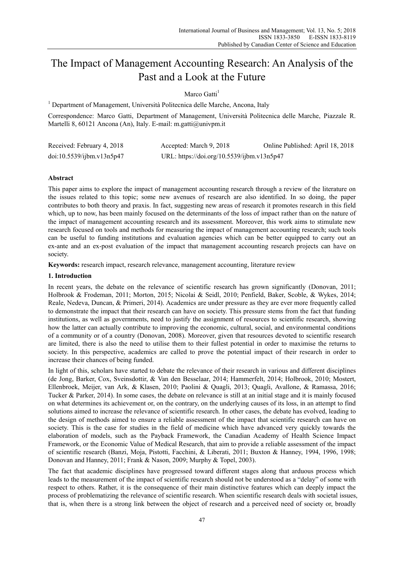# The Impact of Management Accounting Research: An Analysis of the Past and a Look at the Future

## Marco Gatti<sup>1</sup>

<sup>1</sup> Department of Management, Università Politecnica delle Marche, Ancona, Italy

Correspondence: Marco Gatti, Department of Management, Università Politecnica delle Marche, Piazzale R. Martelli 8, 60121 Ancona (An), Italy. E-mail: m.gatti@univpm.it

| Received: February 4, 2018 | Accepted: March 9, 2018                    | Online Published: April 18, 2018 |
|----------------------------|--------------------------------------------|----------------------------------|
| doi:10.5539/ijbm.v13n5p47  | URL: https://doi.org/10.5539/ijbm.v13n5p47 |                                  |

## **Abstract**

This paper aims to explore the impact of management accounting research through a review of the literature on the issues related to this topic; some new avenues of research are also identified. In so doing, the paper contributes to both theory and praxis. In fact, suggesting new areas of research it promotes research in this field which, up to now, has been mainly focused on the determinants of the loss of impact rather than on the nature of the impact of management accounting research and its assessment. Moreover, this work aims to stimulate new research focused on tools and methods for measuring the impact of management accounting research; such tools can be useful to funding institutions and evaluation agencies which can be better equipped to carry out an ex-ante and an ex-post evaluation of the impact that management accounting research projects can have on society.

**Keywords:** research impact, research relevance, management accounting, literature review

## **1. Introduction**

In recent years, the debate on the relevance of scientific research has grown significantly (Donovan, 2011; Holbrook & Frodeman, 2011; Morton, 2015; Nicolai & Seidl, 2010; Penfield, Baker, Scoble, & Wykes, 2014; Reale, Nedeva, Duncan, & Primeri, 2014). Academics are under pressure as they are ever more frequently called to demonstrate the impact that their research can have on society. This pressure stems from the fact that funding institutions, as well as governments, need to justify the assignment of resources to scientific research, showing how the latter can actually contribute to improving the economic, cultural, social, and environmental conditions of a community or of a country (Donovan, 2008). Moreover, given that resources devoted to scientific research are limited, there is also the need to utilise them to their fullest potential in order to maximise the returns to society. In this perspective, academics are called to prove the potential impact of their research in order to increase their chances of being funded.

In light of this, scholars have started to debate the relevance of their research in various and different disciplines (de Jong, Barker, Cox, Sveinsdottir, & Van den Besselaar, 2014; Hammerfelt, 2014; Holbrook, 2010; Mostert, Ellenbroek, Meijer, van Ark, & Klasen, 2010; Paolini & Quagli, 2013; Quagli, Avallone, & Ramassa, 2016; Tucker & Parker, 2014). In some cases, the debate on relevance is still at an initial stage and it is mainly focused on what determines its achievement or, on the contrary, on the underlying causes of its loss, in an attempt to find solutions aimed to increase the relevance of scientific research. In other cases, the debate has evolved, leading to the design of methods aimed to ensure a reliable assessment of the impact that scientific research can have on society. This is the case for studies in the field of medicine which have advanced very quickly towards the elaboration of models, such as the Payback Framework, the Canadian Academy of Health Science Impact Framework, or the Economic Value of Medical Research, that aim to provide a reliable assessment of the impact of scientific research (Banzi, Moja, Pistotti, Facchini, & Liberati, 2011; Buxton & Hanney, 1994, 1996, 1998; Donovan and Hanney, 2011; Frank & Nason, 2009; Murphy & Topel, 2003).

The fact that academic disciplines have progressed toward different stages along that arduous process which leads to the measurement of the impact of scientific research should not be understood as a "delay" of some with respect to others. Rather, it is the consequence of their main distinctive features which can deeply impact the process of problematizing the relevance of scientific research. When scientific research deals with societal issues, that is, when there is a strong link between the object of research and a perceived need of society or, broadly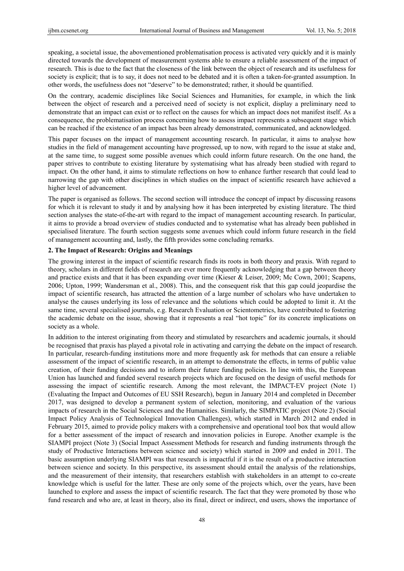speaking, a societal issue, the abovementioned problematisation process is activated very quickly and it is mainly directed towards the development of measurement systems able to ensure a reliable assessment of the impact of research. This is due to the fact that the closeness of the link between the object of research and its usefulness for society is explicit; that is to say, it does not need to be debated and it is often a taken-for-granted assumption. In other words, the usefulness does not "deserve" to be demonstrated; rather, it should be quantified.

On the contrary, academic disciplines like Social Sciences and Humanities, for example, in which the link between the object of research and a perceived need of society is not explicit, display a preliminary need to demonstrate that an impact can exist or to reflect on the causes for which an impact does not manifest itself. As a consequence, the problematisation process concerning how to assess impact represents a subsequent stage which can be reached if the existence of an impact has been already demonstrated, communicated, and acknowledged.

This paper focuses on the impact of management accounting research. In particular, it aims to analyse how studies in the field of management accounting have progressed, up to now, with regard to the issue at stake and, at the same time, to suggest some possible avenues which could inform future research. On the one hand, the paper strives to contribute to existing literature by systematising what has already been studied with regard to impact. On the other hand, it aims to stimulate reflections on how to enhance further research that could lead to narrowing the gap with other disciplines in which studies on the impact of scientific research have achieved a higher level of advancement.

The paper is organised as follows. The second section will introduce the concept of impact by discussing reasons for which it is relevant to study it and by analysing how it has been interpreted by existing literature. The third section analyses the state-of-the-art with regard to the impact of management accounting research. In particular, it aims to provide a broad overview of studies conducted and to systematise what has already been published in specialised literature. The fourth section suggests some avenues which could inform future research in the field of management accounting and, lastly, the fifth provides some concluding remarks.

#### **2. The Impact of Research: Origins and Meanings**

The growing interest in the impact of scientific research finds its roots in both theory and praxis. With regard to theory, scholars in different fields of research are ever more frequently acknowledging that a gap between theory and practice exists and that it has been expanding over time (Kieser & Leiser, 2009; Mc Cown, 2001; Scapens, 2006; Upton, 1999; Wandersman et al., 2008). This, and the consequent risk that this gap could jeopardise the impact of scientific research, has attracted the attention of a large number of scholars who have undertaken to analyse the causes underlying its loss of relevance and the solutions which could be adopted to limit it. At the same time, several specialised journals, e.g. Research Evaluation or Scientometrics, have contributed to fostering the academic debate on the issue, showing that it represents a real "hot topic" for its concrete implications on society as a whole.

In addition to the interest originating from theory and stimulated by researchers and academic journals, it should be recognised that praxis has played a pivotal role in activating and carrying the debate on the impact of research. In particular, research-funding institutions more and more frequently ask for methods that can ensure a reliable assessment of the impact of scientific research, in an attempt to demonstrate the effects, in terms of public value creation, of their funding decisions and to inform their future funding policies. In line with this, the European Union has launched and funded several research projects which are focused on the design of useful methods for assessing the impact of scientific research. Among the most relevant, the IMPACT-EV project (Note 1) (Evaluating the Impact and Outcomes of EU SSH Research), begun in January 2014 and completed in December 2017, was designed to develop a permanent system of selection, monitoring, and evaluation of the various impacts of research in the Social Sciences and the Humanities. Similarly, the SIMPATIC project (Note 2) (Social Impact Policy Analysis of Technological Innovation Challenges), which started in March 2012 and ended in February 2015, aimed to provide policy makers with a comprehensive and operational tool box that would allow for a better assessment of the impact of research and innovation policies in Europe. Another example is the SIAMPI project (Note 3) (Social Impact Assessment Methods for research and funding instruments through the study of Productive Interactions between science and society) which started in 2009 and ended in 2011. The basic assumption underlying SIAMPI was that research is impactful if it is the result of a productive interaction between science and society. In this perspective, its assessment should entail the analysis of the relationships, and the measurement of their intensity, that researchers establish with stakeholders in an attempt to co-create knowledge which is useful for the latter. These are only some of the projects which, over the years, have been launched to explore and assess the impact of scientific research. The fact that they were promoted by those who fund research and who are, at least in theory, also its final, direct or indirect, end users, shows the importance of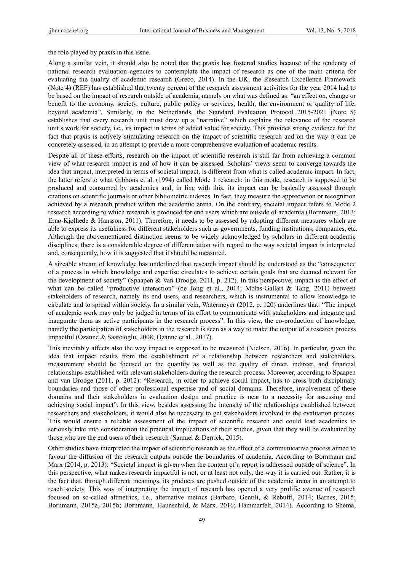the role played by praxis in this issue.

Along a similar vein, it should also be noted that the praxis has fostered studies because of the tendency of national research evaluation agencies to contemplate the impact of research as one of the main criteria for evaluating the quality of academic research (Greco, 2014). In the UK, the Research Excellence Framework (Note 4) (REF) has established that twenty percent of the research assessment activities for the year 2014 had to be based on the impact of research outside of academia, namely on what was defined as: "an effect on, change or benefit to the economy, society, culture, public policy or services, health, the environment or quality of life, beyond academia". Similarly, in the Netherlands, the Standard Evaluation Protocol 2015-2021 (Note 5) establishes that every research unit must draw up a "narrative" which explains the relevance of the research unit's work for society, i.e., its impact in terms of added value for society. This provides strong evidence for the fact that praxis is actively stimulating research on the impact of scientific research and on the way it can be concretely assessed, in an attempt to provide a more comprehensive evaluation of academic results.

Despite all of these efforts, research on the impact of scientific research is still far from achieving a common view of what research impact is and of how it can be assessed. Scholars' views seem to converge towards the idea that impact, interpreted in terms of societal impact, is different from what is called academic impact. In fact, the latter refers to what Gibbons et al. (1994) called Mode 1 research; in this mode, research is supposed to be produced and consumed by academics and, in line with this, its impact can be basically assessed through citations on scientific journals or other bibliometric indexes. In fact, they measure the appreciation or recognition achieved by a research product within the academic arena. On the contrary, societal impact refers to Mode 2 research according to which research is produced for end users which are outside of academia (Bornmann, 2013; Ernø-Kjølhede & Hansson, 2011). Therefore, it needs to be assessed by adopting different measures which are able to express its usefulness for different stakeholders such as governments, funding institutions, companies, etc. Although the abovementioned distinction seems to be widely acknowledged by scholars in different academic disciplines, there is a considerable degree of differentiation with regard to the way societal impact is interpreted and, consequently, how it is suggested that it should be measured.

A sizeable stream of knowledge has underlined that research impact should be understood as the "consequence of a process in which knowledge and expertise circulates to achieve certain goals that are deemed relevant for the development of society" (Spaapen & Van Drooge, 2011, p. 212). In this perspective, impact is the effect of what can be called "productive interaction" (de Jong et al., 2014; Molas-Gallart & Tang, 2011) between stakeholders of research, namely its end users, and researchers, which is instrumental to allow knowledge to circulate and to spread within society. In a similar vein, Watermeyer (2012, p. 120) underlines that: "The impact of academic work may only be judged in terms of its effort to communicate with stakeholders and integrate and inaugurate them as active participants in the research process". In this view, the co-production of knowledge, namely the participation of stakeholders in the research is seen as a way to make the output of a research process impactful (Ozanne & Saatcioglu, 2008; Ozanne et al., 2017).

This inevitably affects also the way impact is supposed to be measured (Nielsen, 2016). In particular, given the idea that impact results from the establishment of a relationship between researchers and stakeholders, measurement should be focused on the quantity as well as the quality of direct, indirect, and financial relationships established with relevant stakeholders during the research process. Moreover, according to Spaapen and van Drooge (2011, p. 2012): "Research, in order to achieve social impact, has to cross both disciplinary boundaries and those of other professional expertise and of social domains. Therefore, involvement of these domains and their stakeholders in evaluation design and practice is near to a necessity for assessing and achieving social impact". In this view, besides assessing the intensity of the relationships established between researchers and stakeholders, it would also be necessary to get stakeholders involved in the evaluation process. This would ensure a reliable assessment of the impact of scientific research and could lead academics to seriously take into consideration the practical implications of their studies, given that they will be evaluated by those who are the end users of their research (Samuel & Derrick, 2015).

Other studies have interpreted the impact of scientific research as the effect of a communicative process aimed to favour the diffusion of the research outputs outside the boundaries of academia. According to Bornmann and Marx (2014, p. 2013): "Societal impact is given when the content of a report is addressed outside of science". In this perspective, what makes research impactful is not, or at least not only, the way it is carried out. Rather, it is the fact that, through different meanings, its products are pushed outside of the academic arena in an attempt to reach society. This way of interpreting the impact of research has opened a very prolific avenue of research focused on so-called altmetrics, i.e., alternative metrics (Barbaro, Gentili, & Rebuffi, 2014; Barnes, 2015; Bornmann, 2015a, 2015b; Bornmann, Haunschild, & Marx, 2016; Hammarfelt, 2014). According to Shema,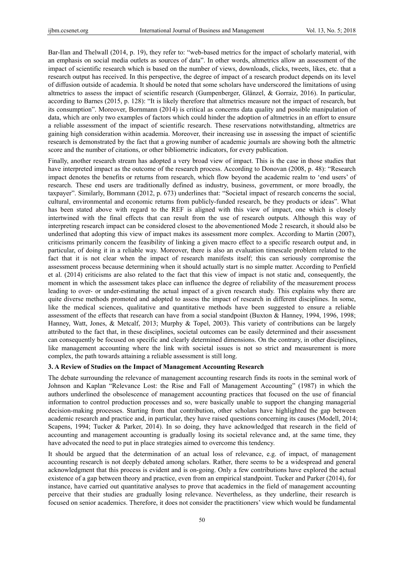Bar-Ilan and Thelwall (2014, p. 19), they refer to: "web-based metrics for the impact of scholarly material, with an emphasis on social media outlets as sources of data". In other words, altmetrics allow an assessment of the impact of scientific research which is based on the number of views, downloads, clicks, tweets, likes, etc. that a research output has received. In this perspective, the degree of impact of a research product depends on its level of diffusion outside of academia. It should be noted that some scholars have underscored the limitations of using altmetrics to assess the impact of scientific research (Gumpenberger, Glänzel, & Gorraiz, 2016). In particular, according to Barnes (2015, p. 128): "It is likely therefore that altmetrics measure not the impact of research, but its consumption". Moreover, Bornmann (2014) is critical as concerns data quality and possible manipulation of data, which are only two examples of factors which could hinder the adoption of altmetrics in an effort to ensure a reliable assessment of the impact of scientific research. These reservations notwithstanding, altmetrics are gaining high consideration within academia. Moreover, their increasing use in assessing the impact of scientific research is demonstrated by the fact that a growing number of academic journals are showing both the altmetric score and the number of citations, or other bibliometric indicators, for every publication.

Finally, another research stream has adopted a very broad view of impact. This is the case in those studies that have interpreted impact as the outcome of the research process. According to Donovan (2008, p. 48): "Research impact denotes the benefits or returns from research, which flow beyond the academic realm to 'end users' of research. These end users are traditionally defined as industry, business, government, or more broadly, the taxpayer". Similarly, Bornmann (2012, p. 673) underlines that: "Societal impact of research concerns the social, cultural, environmental and economic returns from publicly-funded research, be they products or ideas". What has been stated above with regard to the REF is aligned with this view of impact, one which is closely intertwined with the final effects that can result from the use of research outputs. Although this way of interpreting research impact can be considered closest to the abovementioned Mode 2 research, it should also be underlined that adopting this view of impact makes its assessment more complex. According to Martin (2007), criticisms primarily concern the feasibility of linking a given macro effect to a specific research output and, in particular, of doing it in a reliable way. Moreover, there is also an evaluation timescale problem related to the fact that it is not clear when the impact of research manifests itself; this can seriously compromise the assessment process because determining when it should actually start is no simple matter. According to Penfield et al. (2014) criticisms are also related to the fact that this view of impact is not static and, consequently, the moment in which the assessment takes place can influence the degree of reliability of the measurement process leading to over- or under-estimating the actual impact of a given research study. This explains why there are quite diverse methods promoted and adopted to assess the impact of research in different disciplines. In some, like the medical sciences, qualitative and quantitative methods have been suggested to ensure a reliable assessment of the effects that research can have from a social standpoint (Buxton & Hanney, 1994, 1996, 1998; Hanney, Watt, Jones, & Metcalf, 2013; Murphy & Topel, 2003). This variety of contributions can be largely attributed to the fact that, in these disciplines, societal outcomes can be easily determined and their assessment can consequently be focused on specific and clearly determined dimensions. On the contrary, in other disciplines, like management accounting where the link with societal issues is not so strict and measurement is more complex, the path towards attaining a reliable assessment is still long.

#### **3. A Review of Studies on the Impact of Management Accounting Research**

The debate surrounding the relevance of management accounting research finds its roots in the seminal work of Johnson and Kaplan "Relevance Lost: the Rise and Fall of Management Accounting" (1987) in which the authors underlined the obsolescence of management accounting practices that focused on the use of financial information to control production processes and so, were basically unable to support the changing managerial decision-making processes. Starting from that contribution, other scholars have highlighted the gap between academic research and practice and, in particular, they have raised questions concerning its causes (Modell, 2014; Scapens, 1994; Tucker & Parker, 2014). In so doing, they have acknowledged that research in the field of accounting and management accounting is gradually losing its societal relevance and, at the same time, they have advocated the need to put in place strategies aimed to overcome this tendency.

It should be argued that the determination of an actual loss of relevance, e.g. of impact, of management accounting research is not deeply debated among scholars. Rather, there seems to be a widespread and general acknowledgment that this process is evident and is on-going. Only a few contributions have explored the actual existence of a gap between theory and practice, even from an empirical standpoint. Tucker and Parker (2014), for instance, have carried out quantitative analyses to prove that academics in the field of management accounting perceive that their studies are gradually losing relevance. Nevertheless, as they underline, their research is focused on senior academics. Therefore, it does not consider the practitioners' view which would be fundamental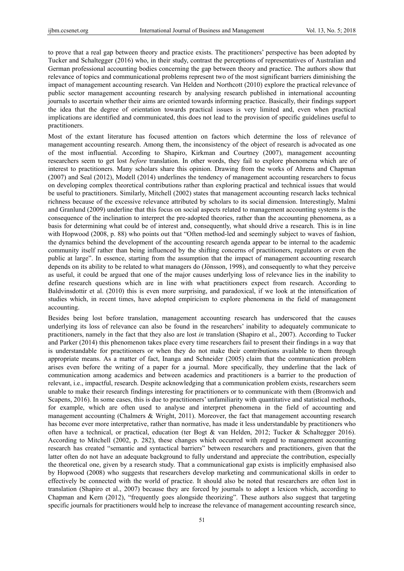to prove that a real gap between theory and practice exists. The practitioners' perspective has been adopted by Tucker and Schaltegger (2016) who, in their study, contrast the perceptions of representatives of Australian and German professional accounting bodies concerning the gap between theory and practice. The authors show that relevance of topics and communicational problems represent two of the most significant barriers diminishing the impact of management accounting research. Van Helden and Northcott (2010) explore the practical relevance of public sector management accounting research by analysing research published in international accounting journals to ascertain whether their aims are oriented towards informing practice. Basically, their findings support the idea that the degree of orientation towards practical issues is very limited and, even when practical implications are identified and communicated, this does not lead to the provision of specific guidelines useful to practitioners.

Most of the extant literature has focused attention on factors which determine the loss of relevance of management accounting research. Among them, the inconsistency of the object of research is advocated as one of the most influential. According to Shapiro, Kirkman and Courtney (2007), management accounting researchers seem to get lost *before* translation. In other words, they fail to explore phenomena which are of interest to practitioners. Many scholars share this opinion. Drawing from the works of Ahrens and Chapman (2007) and Seal (2012), Modell (2014) underlines the tendency of management accounting researchers to focus on developing complex theoretical contributions rather than exploring practical and technical issues that would be useful to practitioners. Similarly, Mitchell (2002) states that management accounting research lacks technical richness because of the excessive relevance attributed by scholars to its social dimension. Interestingly, Malmi and Granlund (2009) underline that this focus on social aspects related to management accounting systems is the consequence of the inclination to interpret the pre-adopted theories, rather than the accounting phenomena, as a basis for determining what could be of interest and, consequently, what should drive a research. This is in line with Hopwood (2008, p. 88) who points out that "Often method-led and seemingly subject to waves of fashion, the dynamics behind the development of the accounting research agenda appear to be internal to the academic community itself rather than being influenced by the shifting concerns of practitioners, regulators or even the public at large". In essence, starting from the assumption that the impact of management accounting research depends on its ability to be related to what managers do (Jönsson, 1998), and consequently to what they perceive as useful, it could be argued that one of the major causes underlying loss of relevance lies in the inability to define research questions which are in line with what practitioners expect from research. According to Baldvinsdottir et al. (2010) this is even more surprising, and paradoxical, if we look at the intensification of studies which, in recent times, have adopted empiricism to explore phenomena in the field of management accounting.

Besides being lost before translation, management accounting research has underscored that the causes underlying its loss of relevance can also be found in the researchers' inability to adequately communicate to practitioners, namely in the fact that they also are lost *in* translation (Shapiro et al., 2007). According to Tucker and Parker (2014) this phenomenon takes place every time researchers fail to present their findings in a way that is understandable for practitioners or when they do not make their contributions available to them through appropriate means. As a matter of fact, Inanga and Schneider (2005) claim that the communication problem arises even before the writing of a paper for a journal. More specifically, they underline that the lack of communication among academics and between academics and practitioners is a barrier to the production of relevant, i.e., impactful, research. Despite acknowledging that a communication problem exists, researchers seem unable to make their research findings interesting for practitioners or to communicate with them (Bromwich and Scapens, 2016). In some cases, this is due to practitioners' unfamiliarity with quantitative and statistical methods, for example, which are often used to analyse and interpret phenomena in the field of accounting and management accounting (Chalmers & Wright, 2011). Moreover, the fact that management accounting research has become ever more interpretative, rather than normative, has made it less understandable by practitioners who often have a technical, or practical, education (ter Bogt & van Helden, 2012; Tucker & Schaltegger 2016). According to Mitchell (2002, p. 282), these changes which occurred with regard to management accounting research has created "semantic and syntactical barriers" between researchers and practitioners, given that the latter often do not have an adequate background to fully understand and appreciate the contribution, especially the theoretical one, given by a research study. That a communicational gap exists is implicitly emphasised also by Hopwood (2008) who suggests that researchers develop marketing and communicational skills in order to effectively be connected with the world of practice. It should also be noted that researchers are often lost in translation (Shapiro et al., 2007) because they are forced by journals to adopt a lexicon which, according to Chapman and Kern (2012), "frequently goes alongside theorizing". These authors also suggest that targeting specific journals for practitioners would help to increase the relevance of management accounting research since,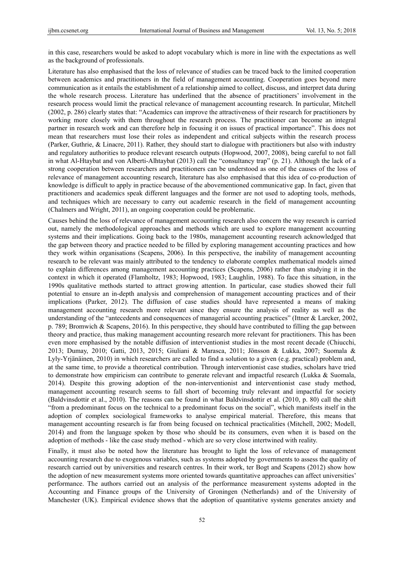in this case, researchers would be asked to adopt vocabulary which is more in line with the expectations as well as the background of professionals.

Literature has also emphasised that the loss of relevance of studies can be traced back to the limited cooperation between academics and practitioners in the field of management accounting. Cooperation goes beyond mere communication as it entails the establishment of a relationship aimed to collect, discuss, and interpret data during the whole research process. Literature has underlined that the absence of practitioners' involvement in the research process would limit the practical relevance of management accounting research. In particular, Mitchell (2002, p. 286) clearly states that: "Academics can improve the attractiveness of their research for practitioners by working more closely with them throughout the research process. The practitioner can become an integral partner in research work and can therefore help in focusing it on issues of practical importance". This does not mean that researchers must lose their roles as independent and critical subjects within the research process (Parker, Guthrie, & Linacre, 2011). Rather, they should start to dialogue with practitioners but also with industry and regulatory authorities to produce relevant research outputs (Hopwood, 2007, 2008), being careful to not fall in what Al-Htaybat and von Alberti-Alhtaybat (2013) call the "consultancy trap" (p. 21). Although the lack of a strong cooperation between researchers and practitioners can be understood as one of the causes of the loss of relevance of management accounting research, literature has also emphasised that this idea of co-production of knowledge is difficult to apply in practice because of the abovementioned communicative gap. In fact, given that practitioners and academics speak different languages and the former are not used to adopting tools, methods, and techniques which are necessary to carry out academic research in the field of management accounting (Chalmers and Wright, 2011), an ongoing cooperation could be problematic.

Causes behind the loss of relevance of management accounting research also concern the way research is carried out, namely the methodological approaches and methods which are used to explore management accounting systems and their implications. Going back to the 1980s, management accounting research acknowledged that the gap between theory and practice needed to be filled by exploring management accounting practices and how they work within organisations (Scapens, 2006). In this perspective, the inability of management accounting research to be relevant was mainly attributed to the tendency to elaborate complex mathematical models aimed to explain differences among management accounting practices (Scapens, 2006) rather than studying it in the context in which it operated (Flamholtz, 1983; Hopwood, 1983; Laughlin, 1988). To face this situation, in the 1990s qualitative methods started to attract growing attention. In particular, case studies showed their full potential to ensure an in-depth analysis and comprehension of management accounting practices and of their implications (Parker, 2012). The diffusion of case studies should have represented a means of making management accounting research more relevant since they ensure the analysis of reality as well as the understanding of the "antecedents and consequences of managerial accounting practices" (Ittner & Larcker, 2002, p. 789; Bromwich & Scapens, 2016). In this perspective, they should have contributed to filling the gap between theory and practice, thus making management accounting research more relevant for practitioners. This has been even more emphasised by the notable diffusion of interventionist studies in the most recent decade (Chiucchi, 2013; Dumay, 2010; Gatti, 2013, 2015; Giuliani & Marasca, 2011; Jönsson & Lukka, 2007; Suomala & Lyly-Yrjänäinen, 2010) in which researchers are called to find a solution to a given (e.g. practical) problem and, at the same time, to provide a theoretical contribution. Through interventionist case studies, scholars have tried to demonstrate how empiricism can contribute to generate relevant and impactful research (Lukka & Suomala, 2014). Despite this growing adoption of the non-interventionist and interventionist case study method, management accounting research seems to fall short of becoming truly relevant and impactful for society (Baldvinsdottir et al., 2010). The reasons can be found in what Baldvinsdottir et al. (2010, p. 80) call the shift "from a predominant focus on the technical to a predominant focus on the social", which manifests itself in the adoption of complex sociological frameworks to analyse empirical material. Therefore, this means that management accounting research is far from being focused on technical practicalities (Mitchell, 2002; Modell, 2014) and from the language spoken by those who should be its consumers, even when it is based on the adoption of methods - like the case study method - which are so very close intertwined with reality.

Finally, it must also be noted how the literature has brought to light the loss of relevance of management accounting research due to exogenous variables, such as systems adopted by governments to assess the quality of research carried out by universities and research centres. In their work, ter Bogt and Scapens (2012) show how the adoption of new measurement systems more oriented towards quantitative approaches can affect universities' performance. The authors carried out an analysis of the performance measurement systems adopted in the Accounting and Finance groups of the University of Groningen (Netherlands) and of the University of Manchester (UK). Empirical evidence shows that the adoption of quantitative systems generates anxiety and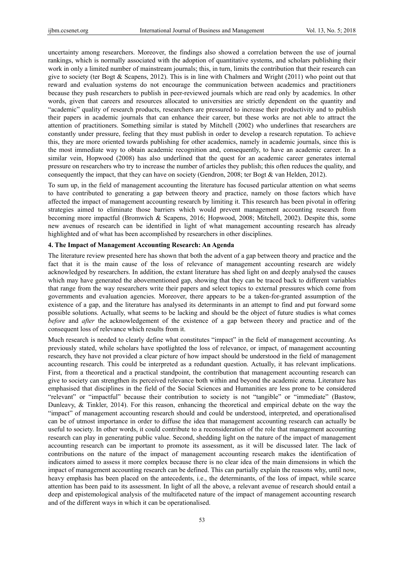uncertainty among researchers. Moreover, the findings also showed a correlation between the use of journal rankings, which is normally associated with the adoption of quantitative systems, and scholars publishing their work in only a limited number of mainstream journals; this, in turn, limits the contribution that their research can give to society (ter Bogt & Scapens, 2012). This is in line with Chalmers and Wright (2011) who point out that reward and evaluation systems do not encourage the communication between academics and practitioners because they push researchers to publish in peer-reviewed journals which are read only by academics. In other words, given that careers and resources allocated to universities are strictly dependent on the quantity and "academic" quality of research products, researchers are pressured to increase their productivity and to publish their papers in academic journals that can enhance their career, but these works are not able to attract the attention of practitioners. Something similar is stated by Mitchell (2002) who underlines that researchers are constantly under pressure, feeling that they must publish in order to develop a research reputation. To achieve this, they are more oriented towards publishing for other academics, namely in academic journals, since this is the most immediate way to obtain academic recognition and, consequently, to have an academic career. In a similar vein, Hopwood (2008) has also underlined that the quest for an academic career generates internal pressure on researchers who try to increase the number of articles they publish; this often reduces the quality, and consequently the impact, that they can have on society (Gendron, 2008; ter Bogt & van Helden, 2012).

To sum up, in the field of management accounting the literature has focused particular attention on what seems to have contributed to generating a gap between theory and practice, namely on those factors which have affected the impact of management accounting research by limiting it. This research has been pivotal in offering strategies aimed to eliminate those barriers which would prevent management accounting research from becoming more impactful (Bromwich & Scapens, 2016; Hopwood, 2008; Mitchell, 2002). Despite this, some new avenues of research can be identified in light of what management accounting research has already highlighted and of what has been accomplished by researchers in other disciplines.

#### **4. The Impact of Management Accounting Research: An Agenda**

The literature review presented here has shown that both the advent of a gap between theory and practice and the fact that it is the main cause of the loss of relevance of management accounting research are widely acknowledged by researchers. In addition, the extant literature has shed light on and deeply analysed the causes which may have generated the abovementioned gap, showing that they can be traced back to different variables that range from the way researchers write their papers and select topics to external pressures which come from governments and evaluation agencies. Moreover, there appears to be a taken-for-granted assumption of the existence of a gap, and the literature has analysed its determinants in an attempt to find and put forward some possible solutions. Actually, what seems to be lacking and should be the object of future studies is what comes *before* and *after* the acknowledgement of the existence of a gap between theory and practice and of the consequent loss of relevance which results from it.

Much research is needed to clearly define what constitutes "impact" in the field of management accounting. As previously stated, while scholars have spotlighted the loss of relevance, or impact, of management accounting research, they have not provided a clear picture of how impact should be understood in the field of management accounting research. This could be interpreted as a redundant question. Actually, it has relevant implications. First, from a theoretical and a practical standpoint, the contribution that management accounting research can give to society can strengthen its perceived relevance both within and beyond the academic arena. Literature has emphasised that disciplines in the field of the Social Sciences and Humanities are less prone to be considered "relevant" or "impactful" because their contribution to society is not "tangible" or "immediate" (Bastow, Dunleavy, & Tinkler, 2014). For this reason, enhancing the theoretical and empirical debate on the way the "impact" of management accounting research should and could be understood, interpreted, and operationalised can be of utmost importance in order to diffuse the idea that management accounting research can actually be useful to society. In other words, it could contribute to a reconsideration of the role that management accounting research can play in generating public value. Second, shedding light on the nature of the impact of management accounting research can be important to promote its assessment, as it will be discussed later. The lack of contributions on the nature of the impact of management accounting research makes the identification of indicators aimed to assess it more complex because there is no clear idea of the main dimensions in which the impact of management accounting research can be defined. This can partially explain the reasons why, until now, heavy emphasis has been placed on the antecedents, i.e., the determinants, of the loss of impact, while scarce attention has been paid to its assessment. In light of all the above, a relevant avenue of research should entail a deep and epistemological analysis of the multifaceted nature of the impact of management accounting research and of the different ways in which it can be operationalised.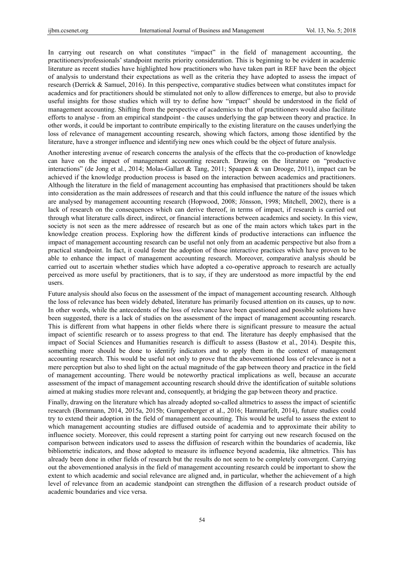In carrying out research on what constitutes "impact" in the field of management accounting, the practitioners/professionals' standpoint merits priority consideration. This is beginning to be evident in academic literature as recent studies have highlighted how practitioners who have taken part in REF have been the object of analysis to understand their expectations as well as the criteria they have adopted to assess the impact of research (Derrick & Samuel, 2016). In this perspective, comparative studies between what constitutes impact for academics and for practitioners should be stimulated not only to allow differences to emerge, but also to provide useful insights for those studies which will try to define how "impact" should be understood in the field of management accounting. Shifting from the perspective of academics to that of practitioners would also facilitate efforts to analyse - from an empirical standpoint - the causes underlying the gap between theory and practice. In other words, it could be important to contribute empirically to the existing literature on the causes underlying the loss of relevance of management accounting research, showing which factors, among those identified by the literature, have a stronger influence and identifying new ones which could be the object of future analysis.

Another interesting avenue of research concerns the analysis of the effects that the co-production of knowledge can have on the impact of management accounting research. Drawing on the literature on "productive interactions" (de Jong et al., 2014; Molas-Gallart & Tang, 2011; Spaapen & van Drooge, 2011), impact can be achieved if the knowledge production process is based on the interaction between academics and practitioners. Although the literature in the field of management accounting has emphasised that practitioners should be taken into consideration as the main addressees of research and that this could influence the nature of the issues which are analysed by management accounting research (Hopwood, 2008; Jönsson, 1998; Mitchell, 2002), there is a lack of research on the consequences which can derive thereof, in terms of impact, if research is carried out through what literature calls direct, indirect, or financial interactions between academics and society. In this view, society is not seen as the mere addressee of research but as one of the main actors which takes part in the knowledge creation process. Exploring how the different kinds of productive interactions can influence the impact of management accounting research can be useful not only from an academic perspective but also from a practical standpoint. In fact, it could foster the adoption of those interactive practices which have proven to be able to enhance the impact of management accounting research. Moreover, comparative analysis should be carried out to ascertain whether studies which have adopted a co-operative approach to research are actually perceived as more useful by practitioners, that is to say, if they are understood as more impactful by the end users.

Future analysis should also focus on the assessment of the impact of management accounting research. Although the loss of relevance has been widely debated, literature has primarily focused attention on its causes, up to now. In other words, while the antecedents of the loss of relevance have been questioned and possible solutions have been suggested, there is a lack of studies on the assessment of the impact of management accounting research. This is different from what happens in other fields where there is significant pressure to measure the actual impact of scientific research or to assess progress to that end. The literature has deeply emphasised that the impact of Social Sciences and Humanities research is difficult to assess (Bastow et al., 2014). Despite this, something more should be done to identify indicators and to apply them in the context of management accounting research. This would be useful not only to prove that the abovementioned loss of relevance is not a mere perception but also to shed light on the actual magnitude of the gap between theory and practice in the field of management accounting. There would be noteworthy practical implications as well, because an accurate assessment of the impact of management accounting research should drive the identification of suitable solutions aimed at making studies more relevant and, consequently, at bridging the gap between theory and practice.

Finally, drawing on the literature which has already adopted so-called altmetrics to assess the impact of scientific research (Bornmann, 2014, 2015a, 2015b; Gumpenberger et al., 2016; Hammarfelt, 2014), future studies could try to extend their adoption in the field of management accounting. This would be useful to assess the extent to which management accounting studies are diffused outside of academia and to approximate their ability to influence society. Moreover, this could represent a starting point for carrying out new research focused on the comparison between indicators used to assess the diffusion of research within the boundaries of academia, like bibliometric indicators, and those adopted to measure its influence beyond academia, like altmetrics. This has already been done in other fields of research but the results do not seem to be completely convergent. Carrying out the abovementioned analysis in the field of management accounting research could be important to show the extent to which academic and social relevance are aligned and, in particular, whether the achievement of a high level of relevance from an academic standpoint can strengthen the diffusion of a research product outside of academic boundaries and vice versa.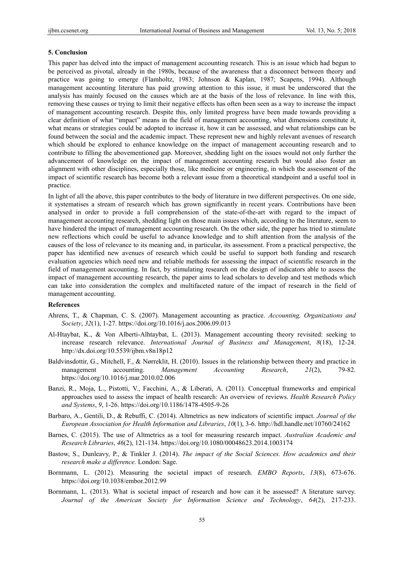#### **5. Conclusion**

This paper has delved into the impact of management accounting research. This is an issue which had begun to be perceived as pivotal, already in the 1980s, because of the awareness that a disconnect between theory and practice was going to emerge (Flamholtz, 1983; Johnson & Kaplan, 1987; Scapens, 1994). Although management accounting literature has paid growing attention to this issue, it must be underscored that the analysis has mainly focused on the causes which are at the basis of the loss of relevance. In line with this, removing these causes or trying to limit their negative effects has often been seen as a way to increase the impact of management accounting research. Despite this, only limited progress have been made towards providing a clear definition of what "impact" means in the field of management accounting, what dimensions constitute it, what means or strategies could be adopted to increase it, how it can be assessed, and what relationships can be found between the social and the academic impact. These represent new and highly relevant avenues of research which should be explored to enhance knowledge on the impact of management accounting research and to contribute to filling the abovementioned gap. Moreover, shedding light on the issues would not only further the advancement of knowledge on the impact of management accounting research but would also foster an alignment with other disciplines, especially those, like medicine or engineering, in which the assessment of the impact of scientific research has become both a relevant issue from a theoretical standpoint and a useful tool in practice.

In light of all the above, this paper contributes to the body of literature in two different perspectives. On one side, it systematises a stream of research which has grown significantly in recent years. Contributions have been analysed in order to provide a full comprehension of the state-of-the-art with regard to the impact of management accounting research, shedding light on those main issues which, according to the literature, seem to have hindered the impact of management accounting research. On the other side, the paper has tried to stimulate new reflections which could be useful to advance knowledge and to shift attention from the analysis of the causes of the loss of relevance to its meaning and, in particular, its assessment. From a practical perspective, the paper has identified new avenues of research which could be useful to support both funding and research evaluation agencies which need new and reliable methods for assessing the impact of scientific research in the field of management accounting. In fact, by stimulating research on the design of indicators able to assess the impact of management accounting research, the paper aims to lead scholars to develop and test methods which can take into consideration the complex and multifaceted nature of the impact of research in the field of management accounting.

#### **References**

- Ahrens, T., & Chapman, C. S. (2007). Management accounting as practice. *Accounting, Organizations and Society*, *32*(1), 1-27. https://doi.org/10.1016/j.aos.2006.09.013
- Al-Htaybat, K., & Von Alberti-Alhtaybat, L. (2013). Management accounting theory revisited: seeking to increase research relevance. *International Journal of Business and Management*, *8*(18), 12-24. http://dx.doi.org/10.5539/ijbm.v8n18p12
- Baldvinsdottir, G., Mitchell, F., & Nørreklit, H. (2010). Issues in the relationship between theory and practice in management accounting. *Management Accounting Research*, *21*(2), 79-82. https://doi.org/10.1016/j.mar.2010.02.006
- Banzi, R., Moja, L., Pistotti, V., Facchini, A., & Liberati, A. (2011). Conceptual frameworks and empirical approaches used to assess the impact of health research: An overview of reviews. *Health Research Policy and Systems*, *9*, 1-26. https://doi.org/10.1186/1478-4505-9-26
- Barbaro, A., Gentili, D., & Rebuffi, C. (2014). Altmetrics as new indicators of scientific impact. *Journal of the European Association for Health Information and Libraries*, *10*(1), 3-6. http://hdl.handle.net/10760/24162
- Barnes, C. (2015). The use of Altmetrics as a tool for measuring research impact. *Australian Academic and Research Libraries*, *46*(2), 121-134. https://doi.org/10.1080/00048623.2014.1003174
- Bastow, S., Dunleavy, P., & Tinkler J. (2014). *The impact of the Social Sciences. How academics and their research make a difference.* London: Sage.
- Bornmann, L. (2012). Measuring the societal impact of research. *EMBO Reports*, *13*(8), 673-676. https://doi.org/10.1038/embor.2012.99
- Bornmann, L. (2013). What is societal impact of research and how can it be assessed? A literature survey. *Journal of the American Society for Information Science and Technology*, *64*(2), 217-233.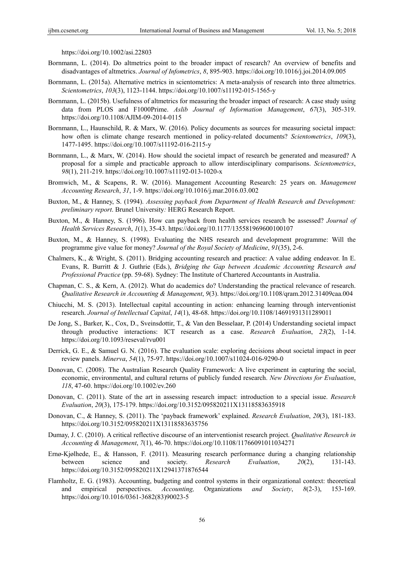https://doi.org/10.1002/asi.22803

- Bornmann, L. (2014). Do altmetrics point to the broader impact of research? An overview of benefits and disadvantages of altmetrics. *Journal of Infometrics*, *8*, 895-903. https://doi.org/10.1016/j.joi.2014.09.005
- Bornmann, L. (2015a). Alternative metrics in scientometrics: A meta-analysis of research into three altmetrics. *Scientometrics*, *103*(3), 1123-1144. https://doi.org/10.1007/s11192-015-1565-y
- Bornmann, L. (2015b). Usefulness of altmetrics for measuring the broader impact of research: A case study using data from PLOS and F1000Prime. *Aslib Journal of Information Management*, *67*(3), 305-319. https://doi.org/10.1108/AJIM-09-2014-0115
- Bornmann, L., Haunschild, R. & Marx, W. (2016). Policy documents as sources for measuring societal impact: how often is climate change research mentioned in policy-related documents? *Scientometrics*, *109*(3), 1477-1495. https://doi.org/10.1007/s11192-016-2115-y
- Bornmann, L., & Marx, W. (2014). How should the societal impact of research be generated and measured? A proposal for a simple and practicable approach to allow interdisciplinary comparisons. *Scientometrics*, *98*(1), 211-219. https://doi.org/10.1007/s11192-013-1020-x
- Bromwich, M., & Scapens, R. W. (2016). Management Accounting Research: 25 years on. *Management Accounting Research*, *31*, 1-9. https://doi.org/10.1016/j.mar.2016.03.002
- Buxton, M., & Hanney, S. (1994). *Assessing payback from Department of Health Research and Development: preliminary report*. Brunel University*:* HERG Research Report.
- Buxton, M., & Hanney, S. (1996). How can payback from health services research be assessed? *Journal of Health Services Research*, *1*(1), 35-43. https://doi.org/10.1177/135581969600100107
- Buxton, M., & Hanney, S. (1998). Evaluating the NHS research and development programme: Will the programme give value for money? *Journal of the Royal Society of Medicine*, *91*(35), 2-6.
- Chalmers, K., & Wright, S. (2011). Bridging accounting research and practice: A value adding endeavor. In E. Evans, R. Burritt & J. Guthrie (Eds.), *Bridging the Gap between Academic Accounting Research and Professional Practice* (pp. 59-68). Sydney: The Institute of Chartered Accountants in Australia.
- Chapman, C. S., & Kern, A. (2012). What do academics do? Understanding the practical relevance of research. *Qualitative Research in Accounting & Management*, *9*(3). https://doi.org/10.1108/qram.2012.31409caa.004
- Chiucchi, M. S. (2013). Intellectual capital accounting in action: enhancing learning through interventionist research. *Journal of Intellectual Capital*, *14*(1), 48-68. https://doi.org/10.1108/14691931311289011
- De Jong, S., Barker, K., Cox, D., Sveinsdottir, T., & Van den Besselaar, P. (2014) Understanding societal impact through productive interactions: ICT research as a case. *Research Evaluation*, *23*(2), 1-14. https://doi.org/10.1093/reseval/rvu001
- Derrick, G. E., & Samuel G. N. (2016). The evaluation scale: exploring decisions about societal impact in peer review panels. *Minerva*, *54*(1), 75-97. https://doi.org/10.1007/s11024-016-9290-0
- Donovan, C. (2008). The Australian Research Quality Framework: A live experiment in capturing the social, economic, environmental, and cultural returns of publicly funded research. *New Directions for Evaluation*, *118*, 47-60. https://doi.org/10.1002/ev.260
- Donovan, C. (2011). State of the art in assessing research impact: introduction to a special issue. *Research Evaluation*, *20*(3), 175-179. https://doi.org/10.3152/095820211X13118583635918
- Donovan, C., & Hanney, S. (2011). The 'payback framework' explained. *Research Evaluation*, *20*(3), 181-183. https://doi.org/10.3152/095820211X13118583635756
- Dumay, J. C. (2010). A critical reflective discourse of an interventionist research project. *Qualitative Research in Accounting & Management*, *7*(1), 46-70. https://doi.org/10.1108/11766091011034271
- Ernø-Kjølhede, E., & Hansson, F. (2011). Measuring research performance during a changing relationship between science and society. *Research Evaluation*, *20*(2), 131-143. https://doi.org/10.3152/095820211X12941371876544
- Flamholtz, E. G. (1983). Accounting, budgeting and control systems in their organizational context: theoretical and empirical perspectives. *Accounting,* Organizations *and Society*, *8*(2-3), 153-169. https://doi.org/10.1016/0361-3682(83)90023-5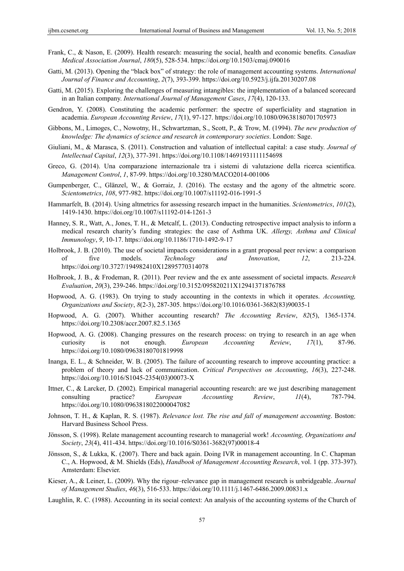- Frank, C., & Nason, E. (2009). Health research: measuring the social, health and economic benefits. *Canadian Medical Association Journal*, *180*(5), 528-534. https://doi.org/10.1503/cmaj.090016
- Gatti, M. (2013). Opening the "black box" of strategy: the role of management accounting systems. *International Journal of Finance and Accounting*, *2*(7), 393-399. https://doi.org/10.5923/j.ijfa.20130207.08
- Gatti, M. (2015). Exploring the challenges of measuring intangibles: the implementation of a balanced scorecard in an Italian company. *International Journal of Management Cases*, *17*(4), 120-133.
- Gendron, Y. (2008). Constituting the academic performer: the spectre of superficiality and stagnation in academia. *European Accounting Review*, *17*(1), 97-127. https://doi.org/10.1080/09638180701705973
- Gibbons, M., Limoges, C., Nowotny, H., Schwartzman, S., Scott, P., & Trow, M. (1994). *The new production of knowledge: The dynamics of science and research in contemporary societies*. London: Sage.
- Giuliani, M., & Marasca, S. (2011). Construction and valuation of intellectual capital: a case study. *Journal of Intellectual Capital*, *12*(3), 377-391. https://doi.org/10.1108/14691931111154698
- Greco, G. (2014). Una comparazione internazionale tra i sistemi di valutazione della ricerca scientifica. *Management Control*, *1*, 87-99. https://doi.org/10.3280/MACO2014-001006
- Gumpenberger, C., Glänzel, W., & Gorraiz, J. (2016). The ecstasy and the agony of the altmetric score. *Scientometrics*, *108*, 977-982. https://doi.org/10.1007/s11192-016-1991-5
- Hammarfelt, B. (2014). Using altmetrics for assessing research impact in the humanities. *Scientometrics*, *101*(2), 1419-1430. https://doi.org/10.1007/s11192-014-1261-3
- Hanney, S. R., Watt, A., Jones, T. H., & Metcalf, L. (2013). Conducting retrospective impact analysis to inform a medical research charity's funding strategies: the case of Asthma UK. *Allergy, Asthma and Clinical Immunology*, *9*, 10-17. https://doi.org/10.1186/1710-1492-9-17
- Holbrook, J. B. (2010). The use of societal impacts considerations in a grant proposal peer review: a comparison of five models. *Technology and Innovation*, *12*, 213-224. https://doi.org/10.3727/194982410X12895770314078
- Holbrook, J. B., & Frodeman, R. (2011). Peer review and the ex ante assessment of societal impacts. *Research Evaluation*, *20*(3), 239-246. https://doi.org/10.3152/095820211X12941371876788
- Hopwood, A. G. (1983). On trying to study accounting in the contexts in which it operates. *Accounting, Organizations and Society*, *8*(2-3), 287-305. https://doi.org/10.1016/0361-3682(83)90035-1
- Hopwood, A. G. (2007). Whither accounting research? *The Accounting Review*, *82*(5), 1365-1374. https://doi.org/10.2308/accr.2007.82.5.1365
- Hopwood, A. G. (2008). Changing pressures on the research process: on trying to research in an age when curiosity is not enough. *European Accounting Review*, *17*(1), 87-96. https://doi.org/10.1080/09638180701819998
- Inanga, E. L., & Schneider, W. B. (2005). The failure of accounting research to improve accounting practice: a problem of theory and lack of communication. *Critical Perspectives on Accounting*, *16*(3), 227-248. https://doi.org/10.1016/S1045-2354(03)00073-X
- Ittner, C., & Larcker, D. (2002). Empirical managerial accounting research: are we just describing management consulting practice? *European Accounting Review*, *11*(4), 787-794. https://doi.org/10.1080/0963818022000047082
- Johnson, T. H., & Kaplan, R. S. (1987). *Relevance lost. The rise and fall of management accounting*. Boston: Harvard Business School Press.
- Jönsson, S. (1998). Relate management accounting research to managerial work! *Accounting, Organizations and Society*, *23*(4), 411-434. https://doi.org/10.1016/S0361-3682(97)00018-4
- Jönsson, S., & Lukka, K. (2007). There and back again. Doing IVR in management accounting. In C. Chapman C., A. Hopwood, & M. Shields (Eds), *Handbook of Management Accounting Research*, vol. 1 (pp. 373-397). Amsterdam: Elsevier.
- Kieser, A., & Leiner, L. (2009). Why the rigour–relevance gap in management research is unbridgeable. *Journal of Management Studies*, *46*(3), 516-533. https://doi.org/10.1111/j.1467-6486.2009.00831.x
- Laughlin, R. C. (1988). Accounting in its social context: An analysis of the accounting systems of the Church of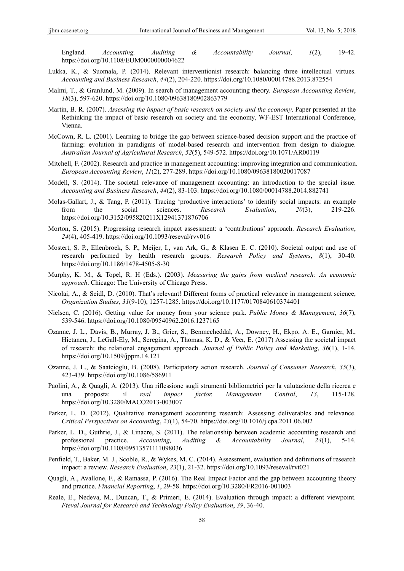England. *Accounting, Auditing & Accountability Journal*, *1*(2), 19-42. https://doi.org/10.1108/EUM0000000004622

- Lukka, K., & Suomala, P. (2014). Relevant interventionist research: balancing three intellectual virtues. *Accounting and Business Research*, *44*(2), 204-220. https://doi.org/10.1080/00014788.2013.872554
- Malmi, T., & Granlund, M. (2009). In search of management accounting theory. *European Accounting Review*, *18*(3), 597-620. https://doi.org/10.1080/09638180902863779
- Martin, B. R. (2007). *Assessing the impact of basic research on society and the economy*. Paper presented at the Rethinking the impact of basic research on society and the economy, WF-EST International Conference, Vienna.
- McCown, R. L. (2001). Learning to bridge the gap between science-based decision support and the practice of farming: evolution in paradigms of model-based research and intervention from design to dialogue. *Australian Journal of Agricultural Research*, *52*(5), 549-572. https://doi.org/10.1071/AR00119
- Mitchell, F. (2002). Research and practice in management accounting: improving integration and communication. *European Accounting Review*, *11*(2), 277-289. https://doi.org/10.1080/09638180020017087
- Modell, S. (2014). The societal relevance of management accounting: an introduction to the special issue. *Accounting and Business Research*, *44*(2), 83-103. https://doi.org/10.1080/00014788.2014.882741
- Molas-Gallart, J., & Tang, P. (2011). Tracing 'productive interactions' to identify social impacts: an example from the social sciences. *Research Evaluation*, *20*(3), 219-226. https://doi.org/10.3152/095820211X12941371876706
- Morton, S. (2015). Progressing research impact assessment: a 'contributions' approach. *Research Evaluation*, *24*(4), 405-419. https://doi.org/10.1093/reseval/rvv016
- Mostert, S. P., Ellenbroek, S. P., Meijer, I., van Ark, G., & Klasen E. C. (2010). Societal output and use of research performed by health research groups. *Research Policy and Systems*, *8*(1), 30-40. https://doi.org/10.1186/1478-4505-8-30
- Murphy, K. M., & Topel, R. H (Eds.). (2003). *Measuring the gains from medical research: An economic approach*. Chicago: The University of Chicago Press.
- Nicolai, A., & Seidl, D. (2010). That's relevant! Different forms of practical relevance in management science, *Organization Studies*, *31*(9-10), 1257-1285. https://doi.org/10.1177/0170840610374401
- Nielsen, C. (2016). Getting value for money from your science park. *Public Money & Management*, *36*(7), 539-546. https://doi.org/10.1080/09540962.2016.1237165
- Ozanne, J. L., Davis, B., Murray, J. B., Grier, S., Benmecheddal, A., Downey, H., Ekpo, A. E., Garnier, M., Hietanen, J., LeGall-Ely, M., Seregina, A., Thomas, K. D., & Veer, E. (2017) Assessing the societal impact of research: the relational engagement approach. *Journal of Public Policy and Marketing*, *36*(1), 1-14. https://doi.org/10.1509/jppm.14.121
- Ozanne, J. L., & Saatcioglu, B. (2008). Participatory action research. *Journal of Consumer Research*, *35*(3), 423-439. https://doi.org/10.1086/586911
- Paolini, A., & Quagli, A. (2013). Una riflessione sugli strumenti bibliometrici per la valutazione della ricerca e una proposta: il *real impact factor. Management Control*, *13*, 115-128. https://doi.org/10.3280/MACO2013-003007
- Parker, L. D. (2012). Qualitative management accounting research: Assessing deliverables and relevance. *Critical Perspectives on Accounting*, *23*(1), 54-70. https://doi.org/10.1016/j.cpa.2011.06.002
- Parker, L. D., Guthrie, J., & Linacre, S. (2011). The relationship between academic accounting research and professional practice. *Accounting, Auditing & Accountability Journal*, *24*(1), 5-14. https://doi.org/10.1108/09513571111098036
- Penfield, T., Baker, M. J., Scoble, R., & Wykes, M. C. (2014). Assessment, evaluation and definitions of research impact: a review. *Research Evaluation*, *23*(1), 21-32. https://doi.org/10.1093/reseval/rvt021
- Quagli, A., Avallone, F., & Ramassa, P. (2016). The Real Impact Factor and the gap between accounting theory and practice. *Financial Reporting*, *1*, 29-58. https://doi.org/10.3280/FR2016-001003
- Reale, E., Nedeva, M., Duncan, T., & Primeri, E. (2014). Evaluation through impact: a different viewpoint. *Fteval Journal for Research and Technology Policy Evaluation*, *39*, 36-40.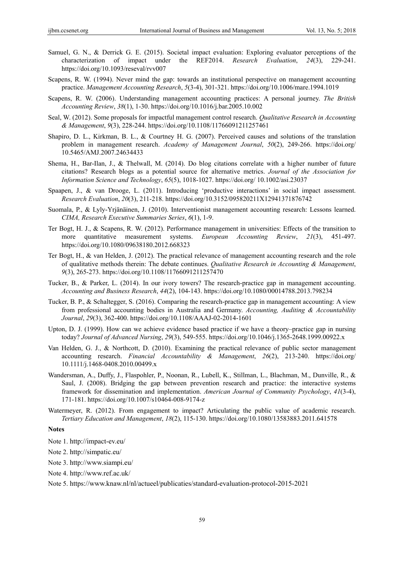- Samuel, G. N., & Derrick G. E. (2015). Societal impact evaluation: Exploring evaluator perceptions of the characterization of impact under the REF2014. *Research Evaluation*, *24*(3), 229-241. https://doi.org/10.1093/reseval/rvv007
- Scapens, R. W. (1994). Never mind the gap: towards an institutional perspective on management accounting practice. *Management Accounting Research*, *5*(3-4), 301-321. https://doi.org/10.1006/mare.1994.1019
- Scapens, R. W. (2006). Understanding management accounting practices: A personal journey. *The British Accounting Review*, *38*(1), 1-30. https://doi.org/10.1016/j.bar.2005.10.002
- Seal, W. (2012). Some proposals for impactful management control research. *Qualitative Research in Accounting & Management*, *9*(3), 228-244. https://doi.org/10.1108/11766091211257461
- Shapiro, D. L., Kirkman, B. L., & Courtney H. G. (2007). Perceived causes and solutions of the translation problem in management research. *Academy of Management Journal*, *50*(2), 249-266. https://doi.org/ 10.5465/AMJ.2007.24634433
- Shema, H., Bar-Ilan, J., & Thelwall, M. (2014). Do blog citations correlate with a higher number of future citations? Research blogs as a potential source for alternative metrics. *Journal of the Association for Information Science and Technology*, *65*(5), 1018-1027. https://doi.org/ 10.1002/asi.23037
- Spaapen, J., & van Drooge, L. (2011). Introducing 'productive interactions' in social impact assessment. *Research Evaluation*, *20*(3), 211-218. https://doi.org/10.3152/095820211X12941371876742
- Suomala, P., & Lyly-Yrjänäinen, J. (2010). Interventionist management accounting research: Lessons learned. *CIMA, Research Executive Summaries Series*, *6*(1), 1-9.
- Ter Bogt, H. J., & Scapens, R. W. (2012). Performance management in universities: Effects of the transition to more quantitative measurement systems. *European Accounting Review*, *21*(3), 451-497. https://doi.org/10.1080/09638180.2012.668323
- Ter Bogt, H., & van Helden, J. (2012). The practical relevance of management accounting research and the role of qualitative methods therein: The debate continues. *Qualitative Research in Accounting & Management*, *9*(3), 265-273. https://doi.org/10.1108/11766091211257470
- Tucker, B., & Parker, L. (2014). In our ivory towers? The research-practice gap in management accounting. *Accounting and Business Research*, *44*(2), 104-143. https://doi.org/10.1080/00014788.2013.798234
- Tucker, B. P., & Schaltegger, S. (2016). Comparing the research-practice gap in management accounting: A view from professional accounting bodies in Australia and Germany. *Accounting, Auditing & Accountability Journal*, *29*(3), 362-400. https://doi.org/10.1108/AAAJ-02-2014-1601
- Upton, D. J. (1999). How can we achieve evidence based practice if we have a theory–practice gap in nursing today? *Journal of Advanced Nursing*, *29*(3), 549-555. https://doi.org/10.1046/j.1365-2648.1999.00922.x
- Van Helden, G. J., & Northcott, D. (2010). Examining the practical relevance of public sector management accounting research. *Financial Accountability & Management*, *26*(2), 213-240. https://doi.org/ 10.1111/j.1468-0408.2010.00499.x
- Wandersman, A., Duffy, J., Flaspohler, P., Noonan, R., Lubell, K., Stillman, L., Blachman, M., Dunville, R., & Saul, J. (2008). Bridging the gap between prevention research and practice: the interactive systems framework for dissemination and implementation. *American Journal of Community Psychology*, *41*(3-4), 171-181. https://doi.org/10.1007/s10464-008-9174-z
- Watermeyer, R. (2012). From engagement to impact? Articulating the public value of academic research. *Tertiary Education and Management*, *18*(2), 115-130. https://doi.org/10.1080/13583883.2011.641578

#### **Notes**

- Note 1. http://impact-ev.eu/
- Note 2. http://simpatic.eu/
- Note 3. http://www.siampi.eu/
- Note 4. http://www.ref.ac.uk/
- Note 5. https://www.knaw.nl/nl/actueel/publicaties/standard-evaluation-protocol-2015-2021